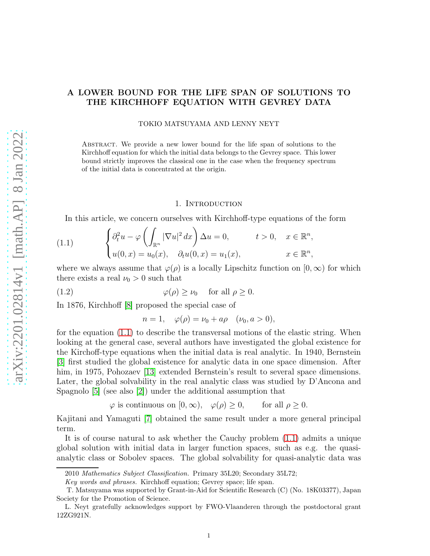# A LOWER BOUND FOR THE LIFE SPAN OF SOLUTIONS TO THE KIRCHHOFF EQUATION WITH GEVREY DATA

TOKIO MATSUYAMA AND LENNY NEYT

Abstract. We provide a new lower bound for the life span of solutions to the Kirchhoff equation for which the initial data belongs to the Gevrey space. This lower bound strictly improves the classical one in the case when the frequency spectrum of the initial data is concentrated at the origin.

# 1. INTRODUCTION

<span id="page-0-0"></span>In this article, we concern ourselves with Kirchhoff-type equations of the form

(1.1) 
$$
\begin{cases} \partial_t^2 u - \varphi \left( \int_{\mathbb{R}^n} |\nabla u|^2 dx \right) \Delta u = 0, & t > 0, \quad x \in \mathbb{R}^n, \\ u(0, x) = u_0(x), & \partial_t u(0, x) = u_1(x), & x \in \mathbb{R}^n, \end{cases}
$$

where we always assume that  $\varphi(\rho)$  is a locally Lipschitz function on  $[0, \infty)$  for which there exists a real  $\nu_0 > 0$  such that

(1.2) 
$$
\varphi(\rho) \ge \nu_0 \quad \text{for all } \rho \ge 0.
$$

In 1876, Kirchhoff [\[8\]](#page-10-0) proposed the special case of

<span id="page-0-1"></span> $n = 1, \quad \varphi(\rho) = \nu_0 + a\rho \quad (\nu_0, a > 0),$ 

for the equation [\(1.1\)](#page-0-0) to describe the transversal motions of the elastic string. When looking at the general case, several authors have investigated the global existence for the Kirchoff-type equations when the initial data is real analytic. In 1940, Bernstein [\[3\]](#page-10-1) first studied the global existence for analytic data in one space dimension. After him, in 1975, Pohozaev [\[13\]](#page-10-2) extended Bernstein's result to several space dimensions. Later, the global solvability in the real analytic class was studied by D'Ancona and Spagnolo [\[5\]](#page-10-3) (see also [\[2\]](#page-10-4)) under the additional assumption that

 $\varphi$  is continuous on  $[0, \infty)$ ,  $\varphi(\rho) \geq 0$ , for all  $\rho \geq 0$ .

Kajitani and Yamaguti [\[7\]](#page-10-5) obtained the same result under a more general principal term.

It is of course natural to ask whether the Cauchy problem [\(1.1\)](#page-0-0) admits a unique global solution with initial data in larger function spaces, such as e.g. the quasianalytic class or Sobolev spaces. The global solvability for quasi-analytic data was

<sup>2010</sup> Mathematics Subject Classification. Primary 35L20; Secondary 35L72;

Key words and phrases. Kirchhoff equation; Gevrey space; life span.

T. Matsuyama was supported by Grant-in-Aid for Scientific Research (C) (No. 18K03377), Japan Society for the Promotion of Science.

L. Neyt gratefully acknowledges support by FWO-Vlaanderen through the postdoctoral grant 12ZG921N.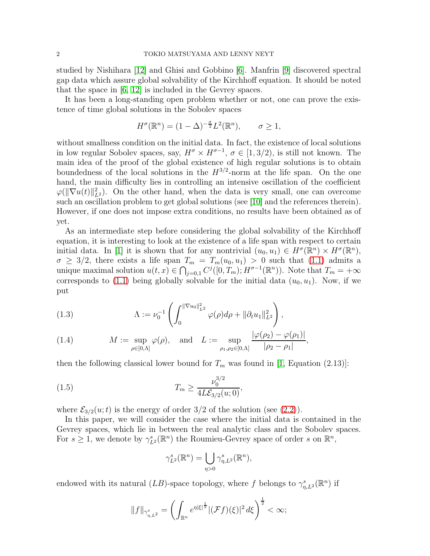studied by Nishihara [\[12\]](#page-10-6) and Ghisi and Gobbino [\[6\]](#page-10-7). Manfrin [\[9\]](#page-10-8) discovered spectral gap data which assure global solvability of the Kirchhoff equation. It should be noted that the space in [\[6,](#page-10-7) [12\]](#page-10-6) is included in the Gevrey spaces.

It has been a long-standing open problem whether or not, one can prove the existence of time global solutions in the Sobolev spaces

$$
H^{\sigma}(\mathbb{R}^n) = (1 - \Delta)^{-\frac{\sigma}{2}} L^2(\mathbb{R}^n), \qquad \sigma \ge 1,
$$

without smallness condition on the initial data. In fact, the existence of local solutions in low regular Sobolev spaces, say,  $H^{\sigma} \times H^{\sigma-1}$ ,  $\sigma \in [1, 3/2)$ , is still not known. The main idea of the proof of the global existence of high regular solutions is to obtain boundedness of the local solutions in the  $H^{3/2}$ -norm at the life span. On the one hand, the main difficulty lies in controlling an intensive oscillation of the coefficient  $\varphi(||\nabla u(t)||_{L^2}^2)$ . On the other hand, when the data is very small, one can overcome such an oscillation problem to get global solutions (see [\[10\]](#page-10-9) and the references therein). However, if one does not impose extra conditions, no results have been obtained as of yet.

As an intermediate step before considering the global solvability of the Kirchhoff equation, it is interesting to look at the existence of a life span with respect to certain initial data. In [\[1\]](#page-10-10) it is shown that for any nontrivial  $(u_0, u_1) \in H^{\sigma}(\mathbb{R}^n) \times H^{\sigma}(\mathbb{R}^n)$ ,  $\sigma \geq 3/2$ , there exists a life span  $T_m = T_m(u_0, u_1) > 0$  such that  $(1.1)$  admits a unique maximal solution  $u(t,x) \in \bigcap_{j=0,1} C^j([0,T_m); H^{\sigma-1}(\mathbb{R}^n))$ . Note that  $T_m = +\infty$ corresponds to [\(1.1\)](#page-0-0) being globally solvable for the initial data  $(u_0, u_1)$ . Now, if we put

<span id="page-1-1"></span>(1.3) 
$$
\Lambda := \nu_0^{-1} \left( \int_0^{\|\nabla u_0\|_{L^2}^2} \varphi(\rho) d\rho + \|\partial_t u_1\|_{L^2}^2 \right),
$$

<span id="page-1-2"></span>(1.4) 
$$
M := \sup_{\rho \in [0,\Lambda]} \varphi(\rho), \text{ and } L := \sup_{\rho_1, \rho_2 \in [0,\Lambda]} \frac{|\varphi(\rho_2) - \varphi(\rho_1)|}{|\rho_2 - \rho_1|},
$$

then the following classical lower bound for  $T_m$  was found in [\[1,](#page-10-10) Equation (2.13)]:

(1.5) 
$$
T_m \ge \frac{\nu_0^{3/2}}{4L\mathcal{E}_{3/2}(u;0)},
$$

where  $\mathcal{E}_{3/2}(u;t)$  is the energy of order 3/2 of the solution (see [\(2.2\)](#page-3-0)).

In this paper, we will consider the case where the initial data is contained in the Gevrey spaces, which lie in between the real analytic class and the Sobolev spaces. For  $s \geq 1$ , we denote by  $\gamma_{L^2}^s(\mathbb{R}^n)$  the Roumieu-Gevrey space of order s on  $\mathbb{R}^n$ ,

<span id="page-1-0"></span>
$$
\gamma_{L^2}^s(\mathbb{R}^n) = \bigcup_{\eta>0} \gamma_{\eta,L^2}^s(\mathbb{R}^n),
$$

endowed with its natural  $(LB)$ -space topology, where f belongs to  $\gamma^s_{\eta,L^2}(\mathbb{R}^n)$  if

$$
||f||_{\gamma_{\eta,L^2}^s} = \left(\int_{\mathbb{R}^n} e^{\eta |\xi|^{\frac{1}{s}}}|(\mathcal{F}f)(\xi)|^2 d\xi\right)^{\frac{1}{2}} < \infty;
$$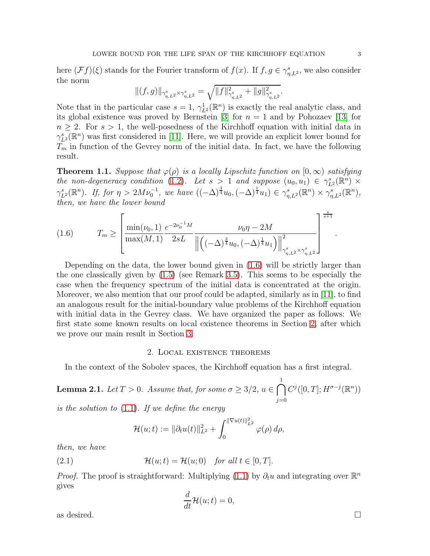here  $(\mathcal{F}f)(\xi)$  stands for the Fourier transform of  $f(x)$ . If  $f, g \in \gamma_{\eta,L^2}^s$ , we also consider the norm

$$
\|(f,g)\|_{\gamma_{\eta,L^2}^s\times \gamma_{\eta,L^2}^s}=\sqrt{\|f\|^2_{\gamma_{\eta,L^2}^s}+\|g\|^2_{\gamma_{\eta,L^2}^s}}.
$$

Note that in the particular case  $s = 1$ ,  $\gamma_{L^2}^1(\mathbb{R}^n)$  is exactly the real analytic class, and its global existence was proved by Bernstein [\[3\]](#page-10-1) for  $n = 1$  and by Pohozaev [\[13\]](#page-10-2) for  $n \geq 2$ . For  $s > 1$ , the well-posedness of the Kirchhoff equation with initial data in  $\gamma_{L^2}^s(\mathbb{R}^n)$  was first considered in [\[11\]](#page-10-11). Here, we will provide an explicit lower bound for  $T_m$  in function of the Gevrey norm of the initial data. In fact, we have the following result.

<span id="page-2-3"></span>**Theorem 1.1.** Suppose that  $\varphi(\rho)$  is a locally Lipschitz function on  $[0,\infty)$  satisfying the non-degeneracy condition [\(1.2\)](#page-0-1). Let  $s > 1$  and suppose  $(u_0, u_1) \in \gamma_{L^2}^s(\mathbb{R}^n) \times$  $\gamma_{L^2}^s(\mathbb{R}^n)$ . If, for  $\eta > 2M\nu_0^{-1}$ , we have  $((-\Delta)^{\frac{3}{4}}u_0, (-\Delta)^{\frac{1}{4}}u_1) \in \gamma_{\eta,L^2}^s(\mathbb{R}^n) \times \gamma_{\eta,L^2}^s(\mathbb{R}^n)$ , then, we have the lower bound

<span id="page-2-0"></span>(1.6) 
$$
T_m \ge \left[ \frac{\min(\nu_0, 1)}{\max(M, 1)} \frac{e^{-2\nu_0^{-1}M}}{2sL} \frac{\nu_0 \eta - 2M}{\left\| \left( (-\Delta)^{\frac{3}{4}} u_0, (-\Delta)^{\frac{1}{4}} u_1 \right) \right\|_{\gamma^s_{\eta, L^2} \times \gamma^s_{\eta, L^2}}^2} \right]^{\frac{s}{s+1}}
$$

Depending on the data, the lower bound given in [\(1.6\)](#page-2-0) will be strictly larger than the one classically given by [\(1.5\)](#page-1-0) (see Remark [3.5\)](#page-10-12). This seems to be especially the case when the frequency spectrum of the initial data is concentrated at the origin. Moreover, we also mention that our proof could be adapted, similarly as in [\[11\]](#page-10-11), to find an analogous result for the initial-boundary value problems of the Kirchhoff equation with initial data in the Gevrey class. We have organized the paper as follows: We first state some known results on local existence theorems in Section [2,](#page-2-1) after which we prove our main result in Section [3.](#page-4-0)

# 2. Local existence theorems

<span id="page-2-1"></span>In the context of the Sobolev spaces, the Kirchhoff equation has a first integral.

**Lemma 2.1.** Let  $T > 0$ . Assume that, for some  $\sigma \geq 3/2$ ,  $u \in \bigcap$ 1  $j=0$  $C^j([0,T];H^{\sigma-j}(\mathbb{R}^n))$ 

is the solution to  $(1.1)$ . If we define the energy

<span id="page-2-2"></span>
$$
\mathcal{H}(u;t) := \|\partial_t u(t)\|_{L^2}^2 + \int_0^{\|\nabla u(t)\|_{L^2}^2} \varphi(\rho) d\rho,
$$

then, we have

(2.1) 
$$
\mathcal{H}(u;t) = \mathcal{H}(u;0) \text{ for all } t \in [0,T].
$$

*Proof.* The proof is straightforward: Multiplying [\(1.1\)](#page-0-0) by  $\partial_t u$  and integrating over  $\mathbb{R}^n$ gives

$$
\frac{d}{dt}\mathcal{H}(u;t) = 0,
$$

as desired.  $\Box$ 

.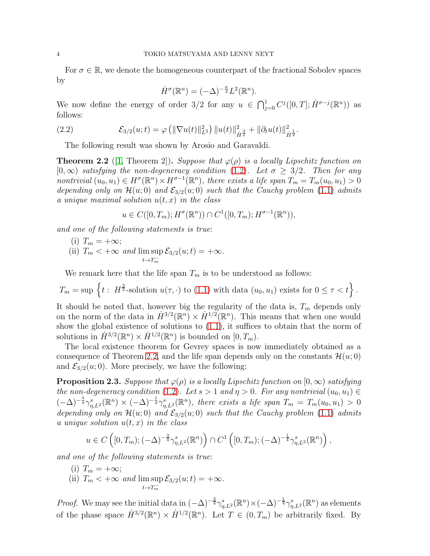For  $\sigma \in \mathbb{R}$ , we denote the homogeneous counterpart of the fractional Sobolev spaces by

<span id="page-3-0"></span>
$$
\dot{H}^{\sigma}(\mathbb{R}^n) = (-\Delta)^{-\frac{\sigma}{2}} L^2(\mathbb{R}^n).
$$

We now define the energy of order 3/2 for any  $u \in \bigcap_{j=0}^{1} C^j([0,T]; \dot{H}^{\sigma-j}(\mathbb{R}^n))$  as follows:

(2.2) 
$$
\mathcal{E}_{3/2}(u;t) = \varphi \left( \|\nabla u(t)\|_{L^2}^2 \right) \|u(t)\|_{\dot{H}^{\frac{3}{2}}}^2 + \|\partial_t u(t)\|_{\dot{H}^{\frac{1}{2}}}^2.
$$

The following result was shown by Arosio and Garavaldi.

<span id="page-3-1"></span>**Theorem 2.2** ([\[1,](#page-10-10) Theorem 2]). Suppose that  $\varphi(\rho)$  is a locally Lipschitz function on  $[0,\infty)$  satisfying the non-degeneracy condition [\(1.2\)](#page-0-1). Let  $\sigma \geq 3/2$ . Then for any nontrivial  $(u_0, u_1) \in H^{\sigma}(\mathbb{R}^n) \times H^{\sigma-1}(\mathbb{R}^n)$ , there exists a life span  $T_m = T_m(u_0, u_1) > 0$ depending only on  $\mathcal{H}(u; 0)$  and  $\mathcal{E}_{3/2}(u; 0)$  such that the Cauchy problem [\(1.1\)](#page-0-0) admits a unique maximal solution  $u(t, x)$  in the class

$$
u \in C([0,T_m); H^{\sigma}(\mathbb{R}^n)) \cap C^1([0,T_m); H^{\sigma-1}(\mathbb{R}^n)),
$$

and one of the following statements is true:

(i)  $T_m = +\infty;$ (ii)  $T_m < +\infty$  and lim sup  $t\rightarrow T_m^ \mathcal{E}_{3/2}(u;t) = +\infty.$ 

We remark here that the life span  $T_m$  is to be understood as follows:

$$
T_m = \sup \left\{ t : H^{\frac{3}{2}}\text{-solution } u(\tau, \cdot) \text{ to (1.1) with data } (u_0, u_1) \text{ exists for } 0 \le \tau < t \right\}.
$$

It should be noted that, however big the regularity of the data is,  $T_m$  depends only on the norm of the data in  $\dot{H}^{3/2}(\mathbb{R}^n) \times \dot{H}^{1/2}(\mathbb{R}^n)$ . This means that when one would show the global existence of solutions to  $(1.1)$ , it suffices to obtain that the norm of solutions in  $\dot{H}^{3/2}(\mathbb{R}^n) \times \dot{H}^{1/2}(\mathbb{R}^n)$  is bounded on  $[0, T_m)$ .

The local existence theorem for Gevrey spaces is now immediately obtained as a consequence of Theorem [2.2,](#page-3-1) and the life span depends only on the constants  $\mathcal{H}(u; 0)$ and  $\mathcal{E}_{3/2}(u;0)$ . More precisely, we have the following:

<span id="page-3-2"></span>**Proposition 2.3.** Suppose that  $\varphi(\rho)$  is a locally Lipschitz function on  $[0,\infty)$  satisfying the non-degeneracy condition [\(1.2\)](#page-0-1). Let  $s > 1$  and  $\eta > 0$ . For any nontrivial  $(u_0, u_1) \in$  $(-\Delta)^{-\frac{3}{4}}\gamma_{\eta,L^2}^s(\mathbb{R}^n)\times(-\Delta)^{-\frac{1}{4}}\gamma_{\eta,L^2}^s(\mathbb{R}^n)$ , there exists a life span  $T_m=T_m(u_0,u_1)>0$ depending only on  $\mathcal{H}(u; 0)$  and  $\mathcal{E}_{3/2}(u; 0)$  such that the Cauchy problem [\(1.1\)](#page-0-0) admits a unique solution  $u(t, x)$  in the class

$$
u \in C\left([0, T_m); (-\Delta)^{-\frac{3}{4}} \gamma_{\eta, L^2}^s(\mathbb{R}^n)\right) \cap C^1\left([0, T_m); (-\Delta)^{-\frac{1}{4}} \gamma_{\eta, L^2}^s(\mathbb{R}^n)\right),
$$

and one of the following statements is true:

(i)  $T_m = +\infty;$ (ii)  $T_m < +\infty$  and lim sup  $t\rightarrow T_m^ \mathcal{E}_{3/2}(u;t) = +\infty.$ 

*Proof.* We may see the initial data in  $(-\Delta)^{-\frac{3}{4}} \gamma_{\eta,L^2}^s(\mathbb{R}^n) \times (-\Delta)^{-\frac{1}{4}} \gamma_{\eta,L^2}^s(\mathbb{R}^n)$  as elements of the phase space  $\dot{H}^{3/2}(\mathbb{R}^n) \times \dot{H}^{1/2}(\mathbb{R}^n)$ . Let  $T \in (0, T_m)$  be arbitrarily fixed. By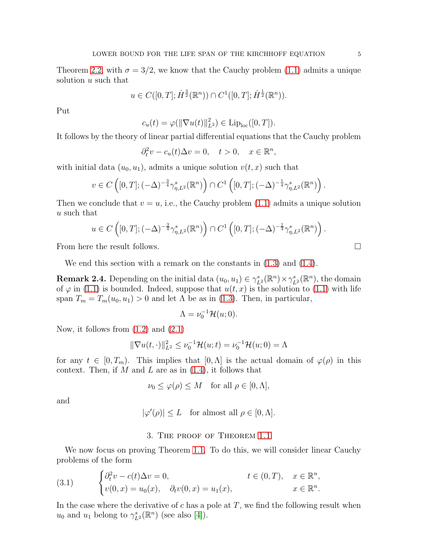Theorem [2.2,](#page-3-1) with  $\sigma = 3/2$ , we know that the Cauchy problem [\(1.1\)](#page-0-0) admits a unique solution u such that

$$
u \in C([0,T]; \dot{H}^{\frac{3}{2}}(\mathbb{R}^n)) \cap C^1([0,T]; \dot{H}^{\frac{1}{2}}(\mathbb{R}^n)).
$$

Put

$$
c_u(t) = \varphi(||\nabla u(t)||_{L^2}^2) \in \text{Lip}_{\text{loc}}([0,T]).
$$

It follows by the theory of linear partial differential equations that the Cauchy problem

$$
\partial_t^2 v - c_u(t)\Delta v = 0, \quad t > 0, \quad x \in \mathbb{R}^n,
$$

with initial data  $(u_0, u_1)$ , admits a unique solution  $v(t, x)$  such that

$$
v \in C\left([0, T]; (-\Delta)^{-\frac{3}{4}} \gamma_{\eta, L^2}^s(\mathbb{R}^n)\right) \cap C^1\left([0, T]; (-\Delta)^{-\frac{1}{4}} \gamma_{\eta, L^2}^s(\mathbb{R}^n)\right).
$$

Then we conclude that  $v = u$ , i.e., the Cauchy problem [\(1.1\)](#page-0-0) admits a unique solution u such that

$$
u \in C\left([0, T]; (-\Delta)^{-\frac{3}{4}} \gamma_{\eta, L^2}^s(\mathbb{R}^n)\right) \cap C^1\left([0, T]; (-\Delta)^{-\frac{1}{4}} \gamma_{\eta, L^2}^s(\mathbb{R}^n)\right).
$$

From here the result follows.

We end this section with a remark on the constants in  $(1.3)$  and  $(1.4)$ .

<span id="page-4-2"></span>**Remark 2.4.** Depending on the initial data  $(u_0, u_1) \in \gamma_{L^2}^s(\mathbb{R}^n) \times \gamma_{L^2}^s(\mathbb{R}^n)$ , the domain of  $\varphi$  in [\(1.1\)](#page-0-0) is bounded. Indeed, suppose that  $u(t, x)$  is the solution to (1.1) with life span  $T_m = T_m(u_0, u_1) > 0$  and let  $\Lambda$  be as in [\(1.3\)](#page-1-1). Then, in particular,

$$
\Lambda = \nu_0^{-1} \mathcal{H}(u; 0).
$$

Now, it follows from [\(1.2\)](#page-0-1) and [\(2.1\)](#page-2-2)

$$
\|\nabla u(t, \cdot)\|_{L^2}^2 \le \nu_0^{-1} \mathcal{H}(u; t) = \nu_0^{-1} \mathcal{H}(u; 0) = \Lambda
$$

for any  $t \in [0, T_m)$ . This implies that  $[0, \Lambda]$  is the actual domain of  $\varphi(\rho)$  in this context. Then, if  $M$  and  $L$  are as in  $(1.4)$ , it follows that

$$
\nu_0 \le \varphi(\rho) \le M \quad \text{for all } \rho \in [0, \Lambda],
$$

and

$$
|\varphi'(\rho)| \le L \quad \text{for almost all } \rho \in [0, \Lambda].
$$

#### 3. The proof of Theorem [1.1](#page-2-3)

<span id="page-4-0"></span>We now focus on proving Theorem [1.1.](#page-2-3) To do this, we will consider linear Cauchy problems of the form

<span id="page-4-1"></span>(3.1) 
$$
\begin{cases} \partial_t^2 v - c(t)\Delta v = 0, & t \in (0, T), \quad x \in \mathbb{R}^n, \\ v(0, x) = u_0(x), & \partial_t v(0, x) = u_1(x), & x \in \mathbb{R}^n. \end{cases}
$$

In the case where the derivative of  $c$  has a pole at  $T$ , we find the following result when  $u_0$  and  $u_1$  belong to  $\gamma_{L^2}^s(\mathbb{R}^n)$  (see also [\[4\]](#page-10-13)).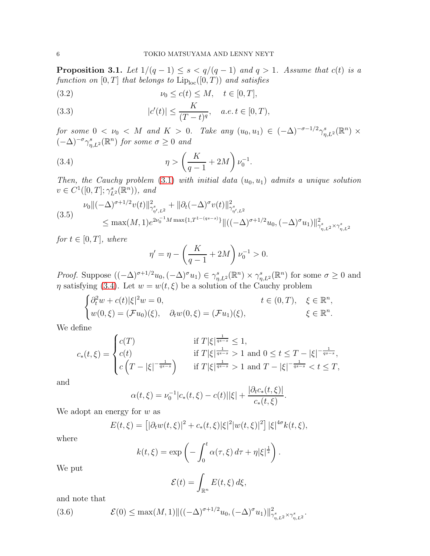<span id="page-5-5"></span>**Proposition 3.1.** Let  $1/(q-1) \leq s < q/(q-1)$  and  $q > 1$ . Assume that  $c(t)$  is a function on  $[0, T]$  that belongs to  $\mathrm{Lip}_{\mathrm{loc}}([0, T))$  and satisfies

<span id="page-5-1"></span>
$$
(3.2) \t\t\t\nu_0 \le c(t) \le M, \quad t \in [0, T],
$$

<span id="page-5-2"></span>(3.3) 
$$
|c'(t)| \le \frac{K}{(T-t)^q}, \quad a.e. t \in [0, T),
$$

for some  $0 < \nu_0 < M$  and  $K > 0$ . Take any  $(u_0, u_1) \in (-\Delta)^{-\sigma-1/2} \gamma_{\eta, L^2}^s(\mathbb{R}^n) \times$  $(-\Delta)^{-\sigma}\gamma_{\eta,L^2}^s(\mathbb{R}^n)$  for some  $\sigma \geq 0$  and

(3.4) 
$$
\eta > \left(\frac{K}{q-1} + 2M\right)\nu_0^{-1}.
$$

Then, the Cauchy problem [\(3.1\)](#page-4-1) with initial data  $(u_0, u_1)$  admits a unique solution  $v \in C^1([0, T]; \gamma_{L^2}^s(\mathbb{R}^n))$ , and

<span id="page-5-3"></span>
$$
(3.5) \quad \nu_0 \|(-\Delta)^{\sigma+1/2} v(t)\|_{\gamma_{\eta',L^2}^s}^2 + \|\partial_t (-\Delta)^{\sigma} v(t)\|_{\gamma_{\eta',L^2}^s}^2 \n\le \max(M,1)e^{2\nu_0^{-1}M \max\{1,T^{1-(qs-s)}\}} \|((-\Delta)^{\sigma+1/2}u_0,(-\Delta)^{\sigma}u_1)\|_{\gamma_{\eta,L^2}^s \times \gamma_{\eta,L^2}^s}^2
$$

for  $t \in [0, T]$ , where

<span id="page-5-0"></span>
$$
\eta' = \eta - \left(\frac{K}{q-1} + 2M\right)\nu_0^{-1} > 0.
$$

*Proof.* Suppose  $((-\Delta)^{\sigma+1/2}u_0, (-\Delta)^{\sigma}u_1) \in \gamma_{\eta,L^2}^s(\mathbb{R}^n) \times \gamma_{\eta,L^2}^s(\mathbb{R}^n)$  for some  $\sigma \geq 0$  and  $\eta$  satisfying [\(3.4\)](#page-5-0). Let  $w = w(t, \xi)$  be a solution of the Cauchy problem

$$
\begin{cases}\n\partial_t^2 w + c(t)|\xi|^2 w = 0, & t \in (0, T), \xi \in \mathbb{R}^n, \\
w(0,\xi) = (\mathcal{F}u_0)(\xi), & \partial_t w(0,\xi) = (\mathcal{F}u_1)(\xi), & \xi \in \mathbb{R}^n.\n\end{cases}
$$

We define

$$
c_{*}(t,\xi) = \begin{cases} c(T) & \text{if } T|\xi|^{\frac{1}{qs-s}} \leq 1, \\ c(t) & \text{if } T|\xi|^{\frac{1}{qs-s}} > 1 \text{ and } 0 \leq t \leq T - |\xi|^{-\frac{1}{qs-s}}, \\ c\left(T - |\xi|^{-\frac{1}{qs-s}}\right) & \text{if } T|\xi|^{\frac{1}{qs-s}} > 1 \text{ and } T - |\xi|^{-\frac{1}{qs-s}} < t \leq T, \end{cases}
$$

and

$$
\alpha(t,\xi) = \nu_0^{-1}|c_*(t,\xi) - c(t)||\xi| + \frac{|\partial_t c_*(t,\xi)|}{c_*(t,\xi)}
$$

.

We adopt an energy for  $w$  as

$$
E(t,\xi) = [|\partial_t w(t,\xi)|^2 + c_*(t,\xi)|\xi|^2 |w(t,\xi)|^2] |\xi|^{4\sigma} k(t,\xi),
$$

where

$$
k(t,\xi) = \exp\left(-\int_0^t \alpha(\tau,\xi) d\tau + \eta |\xi|^{\frac{1}{s}}\right).
$$

We put

$$
\mathcal{E}(t) = \int_{\mathbb{R}^n} E(t,\xi) \, d\xi,
$$

and note that

<span id="page-5-4"></span>(3.6) 
$$
\mathcal{E}(0) \leq \max(M,1) \| ((-\Delta)^{\sigma+1/2} u_0, (-\Delta)^{\sigma} u_1) \|_{\gamma^s_{\eta,L^2} \times \gamma^s_{\eta,L^2}}^2.
$$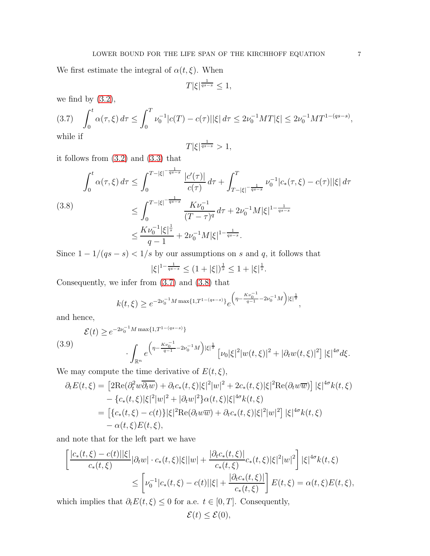We first estimate the integral of  $\alpha(t,\xi).$  When

$$
T|\xi|^{\frac{1}{qs-s}} \le 1,
$$

we find by  $(3.2)$ ,

<span id="page-6-0"></span>(3.7) 
$$
\int_0^t \alpha(\tau,\xi) d\tau \le \int_0^T \nu_0^{-1} |c(T) - c(\tau)| |\xi| d\tau \le 2\nu_0^{-1} MT |\xi| \le 2\nu_0^{-1} MT^{1-(qs-s)},
$$
 while if

$$
T|\xi|^{\frac{1}{qs-s}} > 1,
$$

it follows from [\(3.2\)](#page-5-1) and [\(3.3\)](#page-5-2) that

<span id="page-6-1"></span>
$$
\int_0^t \alpha(\tau,\xi) d\tau \le \int_0^{T-|\xi|^{-\frac{1}{qs-s}}} \frac{|c'(\tau)|}{c(\tau)} d\tau + \int_{T-|\xi|^{-\frac{1}{qs-s}}}^T \nu_0^{-1} |c_*(\tau,\xi) - c(\tau)| |\xi| d\tau
$$
\n
$$
\le \int_0^{T-|\xi|^{-\frac{1}{qs-s}}} \frac{K\nu_0^{-1}}{(T-\tau)^q} d\tau + 2\nu_0^{-1} M |\xi|^{1-\frac{1}{qs-s}}
$$
\n
$$
\le \frac{K\nu_0^{-1} |\xi|^{\frac{1}{s}}}{q-1} + 2\nu_0^{-1} M |\xi|^{1-\frac{1}{qs-s}}.
$$

Since  $1 - 1/(qs - s) < 1/s$  by our assumptions on s and q, it follows that  $|\xi|^{1-\frac{1}{qs-s}} \leq (1+|\xi|)^{\frac{1}{s}} \leq 1+|\xi|^{\frac{1}{s}}.$ 

Consequently, we infer from [\(3.7\)](#page-6-0) and [\(3.8\)](#page-6-1) that

$$
k(t,\xi) \geq e^{-2\nu_0^{-1}M \max\{1,T^{1-(qs-s)}\}} e^{\left(\eta - \frac{K\nu_0^{-1}}{q-1} - 2\nu_0^{-1}M\right)|\xi|^{\frac{1}{s}}},
$$

and hence,

<span id="page-6-2"></span>
$$
\mathcal{E}(t) \ge e^{-2\nu_0^{-1}M \max\{1,T^{1-(qs-s)}\}} \cdot \int_{\mathbb{R}^n} e^{\left(\eta - \frac{K\nu_0^{-1}}{q-1} - 2\nu_0^{-1}M\right) |\xi|^{\frac{1}{s}}}\left[\nu_0 |\xi|^2 |w(t,\xi)|^2 + |\partial_t w(t,\xi)|^2\right] |\xi|^{4\sigma} d\xi.
$$

We may compute the time derivative of  $E(t, \xi)$ ,

$$
\partial_t E(t,\xi) = \left[ 2\text{Re}(\partial_t^2 w \overline{\partial_t w}) + \partial_t c_*(t,\xi) |\xi|^2 |w|^2 + 2c_*(t,\xi) |\xi|^2 \text{Re}(\partial_t w \overline{w}) \right] |\xi|^{4\sigma} k(t,\xi)
$$
  

$$
- \left\{ c_*(t,\xi) |\xi|^2 |w|^2 + |\partial_t w|^2 \right\} \alpha(t,\xi) |\xi|^{4\sigma} k(t,\xi)
$$
  

$$
= \left[ \left\{ c_*(t,\xi) - c(t) \right\} |\xi|^2 \text{Re}(\partial_t w \overline{w}) + \partial_t c_*(t,\xi) |\xi|^2 |w|^2 \right] |\xi|^{4\sigma} k(t,\xi)
$$
  

$$
- \alpha(t,\xi) E(t,\xi),
$$

and note that for the left part we have

$$
\left[ \frac{|c_*(t,\xi) - c(t)||\xi|}{c_*(t,\xi)} |\partial_t w| \cdot c_*(t,\xi)|\xi| |w| + \frac{|\partial_t c_*(t,\xi)|}{c_*(t,\xi)} c_*(t,\xi)|\xi|^2 |w|^2 \right] |\xi|^{4\sigma} k(t,\xi)
$$
  

$$
\leq \left[ \nu_0^{-1} |c_*(t,\xi) - c(t)||\xi| + \frac{|\partial_t c_*(t,\xi)|}{c_*(t,\xi)} \right] E(t,\xi) = \alpha(t,\xi) E(t,\xi),
$$

which implies that  $\partial_t E(t, \xi) \leq 0$  for a.e.  $t \in [0, T]$ . Consequently,

$$
\mathcal{E}(t) \le \mathcal{E}(0),
$$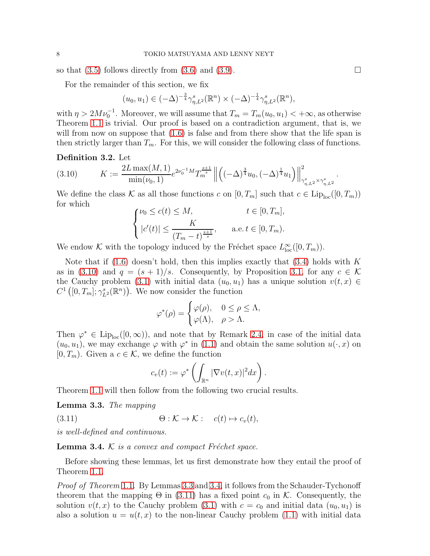so that  $(3.5)$  follows directly from  $(3.6)$  and  $(3.9)$ .

For the remainder of this section, we fix

$$
(u_0, u_1) \in (-\Delta)^{-\frac{3}{4}} \gamma^s_{\eta, L^2}(\mathbb{R}^n) \times (-\Delta)^{-\frac{1}{4}} \gamma^s_{\eta, L^2}(\mathbb{R}^n),
$$

with  $\eta > 2M\nu_0^{-1}$ . Moreover, we will assume that  $T_m = T_m(u_0, u_1) < +\infty$ , as otherwise Theorem [1.1](#page-2-3) is trivial. Our proof is based on a contradiction argument, that is, we will from now on suppose that  $(1.6)$  is false and from there show that the life span is then strictly larger than  $T_m$ . For this, we will consider the following class of functions.

# Definition 3.2. Let

<span id="page-7-0"></span>
$$
(3.10) \t K := \frac{2L \max(M, 1)}{\min(\nu_0, 1)} e^{2\nu_0^{-1}M} T_m^{\frac{s+1}{s}} \left\| \left( (-\Delta)^{\frac{3}{4}} u_0, (-\Delta)^{\frac{1}{4}} u_1 \right) \right\|_{\gamma^s_{\eta, L^2} \times \gamma^s_{\eta, L^2}}^2.
$$

We define the class K as all those functions c on  $[0, T_m]$  such that  $c \in \text{Lip}_{\text{loc}}([0, T_m))$ for which  $\langle c(t) \rangle \langle M, t \in [0, T_m]$ 

$$
\begin{cases} \nu_0 \le c(t) \le M, & t \in [0, T_m], \\ |c'(t)| \le \frac{K}{(T_m - t)^{\frac{s+1}{s}}}, & \text{a.e. } t \in [0, T_m). \end{cases}
$$

We endow K with the topology induced by the Fréchet space  $L^{\infty}_{loc}([0, T_m))$ .

Note that if  $(1.6)$  doesn't hold, then this implies exactly that  $(3.4)$  holds with K as in [\(3.10\)](#page-7-0) and  $q = (s + 1)/s$ . Consequently, by Proposition [3.1,](#page-5-5) for any  $c \in \mathcal{K}$ the Cauchy problem [\(3.1\)](#page-4-1) with initial data  $(u_0, u_1)$  has a unique solution  $v(t, x) \in$  $C^1\left([0,T_m];\gamma_{L^2}^s(\mathbb{R}^n)\right)$ . We now consider the function

$$
\varphi^*(\rho) = \begin{cases} \varphi(\rho), & 0 \le \rho \le \Lambda, \\ \varphi(\Lambda), & \rho > \Lambda. \end{cases}
$$

Then  $\varphi^* \in \text{Lip}_{\text{loc}}([0,\infty))$ , and note that by Remark [2.4,](#page-4-2) in case of the initial data  $(u_0, u_1)$ , we may exchange  $\varphi$  with  $\varphi^*$  in [\(1.1\)](#page-0-0) and obtain the same solution  $u(\cdot, x)$  on  $[0, T_m)$ . Given a  $c \in \mathcal{K}$ , we define the function

<span id="page-7-3"></span>
$$
c_v(t) := \varphi^* \left( \int_{\mathbb{R}^n} |\nabla v(t,x)|^2 dx \right).
$$

Theorem [1.1](#page-2-3) will then follow from the following two crucial results.

<span id="page-7-1"></span>Lemma 3.3. The mapping

(3.11)  $\Theta: \mathcal{K} \to \mathcal{K}: c(t) \mapsto c_v(t),$ 

is well-defined and continuous.

<span id="page-7-2"></span>**Lemma 3.4.**  $K$  is a convex and compact Fréchet space.

Before showing these lemmas, let us first demonstrate how they entail the proof of Theorem [1.1.](#page-2-3)

Proof of Theorem [1.1](#page-2-3). By Lemmas [3.3](#page-7-1) and [3.4,](#page-7-2) it follows from the Schauder-Tychonoff theorem that the mapping  $\Theta$  in [\(3.11\)](#page-7-3) has a fixed point  $c_0$  in K. Consequently, the solution  $v(t, x)$  to the Cauchy problem [\(3.1\)](#page-4-1) with  $c = c_0$  and initial data  $(u_0, u_1)$  is also a solution  $u = u(t, x)$  to the non-linear Cauchy problem [\(1.1\)](#page-0-0) with initial data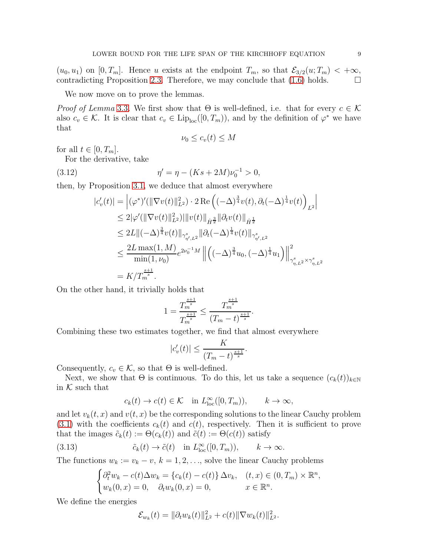$(u_0, u_1)$  on  $[0, T_m]$ . Hence u exists at the endpoint  $T_m$ , so that  $\mathcal{E}_{3/2}(u; T_m) < +\infty$ , contradicting Proposition [2.3.](#page-3-2) Therefore, we may conclude that  $(1.6)$  holds.  $\Box$ 

We now move on to prove the lemmas.

*Proof of Lemma* [3.3](#page-7-1). We first show that  $\Theta$  is well-defined, i.e. that for every  $c \in \mathcal{K}$ also  $c_v \in \mathcal{K}$ . It is clear that  $c_v \in \text{Lip}_{\text{loc}}([0, T_m))$ , and by the definition of  $\varphi^*$  we have that

<span id="page-8-0"></span>
$$
\nu_0 \le c_v(t) \le M
$$

for all  $t \in [0, T_m]$ .

For the derivative, take

(3.12) 
$$
\eta' = \eta - (Ks + 2M)\nu_0^{-1} > 0,
$$

then, by Proposition [3.1,](#page-5-5) we deduce that almost everywhere

$$
|c'_{v}(t)| = |(\varphi^*)'(||\nabla v(t)||_{L^2}^2) \cdot 2 \operatorname{Re} \left( (-\Delta)^{\frac{3}{4}} v(t), \partial_t (-\Delta)^{\frac{1}{4}} v(t) \right)_{L^2} |
$$
  
\n
$$
\leq 2|\varphi'(||\nabla v(t)||_{L^2}^2)| \|v(t)||_{\dot{H}^{\frac{3}{2}}} \|\partial_t v(t)||_{\dot{H}^{\frac{1}{2}}}
$$
  
\n
$$
\leq 2L \|(-\Delta)^{\frac{3}{4}} v(t)||_{\gamma_{\eta',L^2}^s} \|\partial_t (-\Delta)^{\frac{1}{4}} v(t)||_{\gamma_{\eta',L^2}^s}
$$
  
\n
$$
\leq \frac{2L \max(1,M)}{\min(1,\nu_0)} e^{2\nu_0^{-1}M} \| \left( (-\Delta)^{\frac{3}{4}} u_0, (-\Delta)^{\frac{1}{4}} u_1 \right) \Big\|_{\gamma_{\eta,L^2}^s \times \gamma_{\eta,L^2}^s}^2
$$
  
\n
$$
= K/T_m^{\frac{s+1}{2}}.
$$

On the other hand, it trivially holds that

$$
1 = \frac{T_m^{\frac{s+1}{s}}}{T_m^{\frac{s+1}{s}}} \le \frac{T_m^{\frac{s+1}{s}}}{(T_m - t)^{\frac{s+1}{s}}}.
$$

Combining these two estimates together, we find that almost everywhere

$$
|c'_v(t)| \le \frac{K}{(T_m - t)^{\frac{s+1}{s}}}.
$$

Consequently,  $c_v \in \mathcal{K}$ , so that  $\Theta$  is well-defined.

Next, we show that  $\Theta$  is continuous. To do this, let us take a sequence  $(c_k(t))_{k\in\mathbb{N}}$ in  $K$  such that

$$
c_k(t) \to c(t) \in \mathcal{K} \quad \text{in } L^{\infty}_{\text{loc}}([0, T_m)), \qquad k \to \infty,
$$

and let  $v_k(t, x)$  and  $v(t, x)$  be the corresponding solutions to the linear Cauchy problem [\(3.1\)](#page-4-1) with the coefficients  $c_k(t)$  and  $c(t)$ , respectively. Then it is sufficient to prove that the images  $\tilde{c}_k(t) := \Theta(c_k(t))$  and  $\tilde{c}(t) := \Theta(c(t))$  satisfy

(3.13) 
$$
\tilde{c}_k(t) \to \tilde{c}(t) \quad \text{in } L^{\infty}_{\text{loc}}([0, T_m)), \qquad k \to \infty.
$$

The functions  $w_k := v_k - v, k = 1, 2, \dots$ , solve the linear Cauchy problems

<span id="page-8-1"></span>
$$
\begin{cases} \partial_t^2 w_k - c(t) \Delta w_k = \{c_k(t) - c(t)\} \Delta v_k, & (t, x) \in (0, T_m) \times \mathbb{R}^n, \\ w_k(0, x) = 0, & x \in \mathbb{R}^n. \end{cases}
$$

We define the energies

$$
\mathcal{E}_{w_k}(t) = \|\partial_t w_k(t)\|_{L^2}^2 + c(t) \|\nabla w_k(t)\|_{L^2}^2.
$$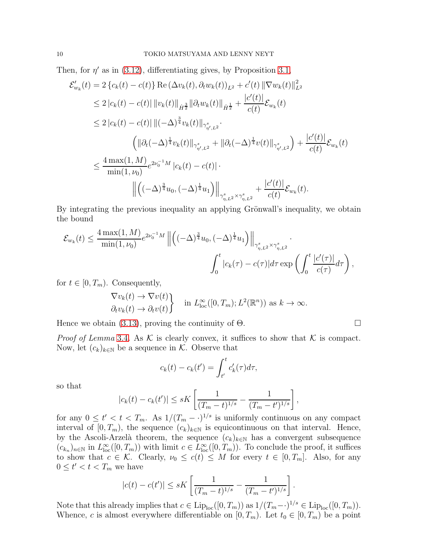Then, for  $\eta'$  as in [\(3.12\)](#page-8-0), differentiating gives, by Proposition [3.1,](#page-5-5)

$$
\mathcal{E}'_{w_k}(t) = 2 \{c_k(t) - c(t)\} \operatorname{Re} (\Delta v_k(t), \partial_t w_k(t))_{L^2} + c'(t) \|\nabla w_k(t)\|_{L^2}^2
$$
\n
$$
\leq 2 |c_k(t) - c(t)| \|\nu_k(t)\|_{\dot{H}^{\frac{1}{2}}} \|\partial_t w_k(t)\|_{\dot{H}^{\frac{1}{2}}} + \frac{|c'(t)|}{c(t)} \mathcal{E}_{w_k}(t)
$$
\n
$$
\leq 2 |c_k(t) - c(t)| \|( - \Delta)^{\frac{3}{4}} v_k(t)\|_{\gamma^s_{\eta', L^2}}.
$$
\n
$$
\left( \|\partial_t (-\Delta)^{\frac{1}{4}} v_k(t)\|_{\gamma^s_{\eta', L^2}} + \|\partial_t (-\Delta)^{\frac{1}{4}} v(t)\|_{\gamma^s_{\eta', L^2}} \right) + \frac{|c'(t)|}{c(t)} \mathcal{E}_{w_k}(t)
$$
\n
$$
\leq \frac{4 \max(1, M)}{\min(1, \nu_0)} e^{2\nu_0^{-1}M} |c_k(t) - c(t)|.
$$
\n
$$
\left\| \left( (-\Delta)^{\frac{3}{4}} u_0, (-\Delta)^{\frac{1}{4}} u_1 \right) \right\|_{\gamma^s_{\eta, L^2} \times \gamma^s_{\eta, L^2}} + \frac{|c'(t)|}{c(t)} \mathcal{E}_{w_k}(t).
$$

By integrating the previous inequality an applying Grönwall's inequality, we obtain the bound

$$
\mathcal{E}_{w_k}(t) \leq \frac{4 \max(1, M)}{\min(1, \nu_0)} e^{2\nu_0^{-1}M} \left\| \left( (-\Delta)^{\frac{3}{4}} u_0, (-\Delta)^{\frac{1}{4}} u_1 \right) \right\|_{\gamma^s_{\eta, L^2} \times \gamma^s_{\eta, L^2}} \cdot \frac{\left\| c'(\tau) \right\|}{\int_0^t |c_k(\tau) - c(\tau)| d\tau \exp\left( \int_0^t \frac{|c'(\tau)|}{c(\tau)} d\tau \right),
$$

for  $t \in [0, T_m)$ . Consequently,

$$
\left\{\nabla v_k(t) \to \nabla v(t) \atop \partial_t v_k(t) \to \partial_t v(t)\n\right\} \quad \text{in } L^{\infty}_{\text{loc}}([0, T_m); L^2(\mathbb{R}^n)) \text{ as } k \to \infty.
$$

Hence we obtain [\(3.13\)](#page-8-1), proving the continuity of  $\Theta$ .

*Proof of Lemma* [3.4](#page-7-2). As  $K$  is clearly convex, it suffices to show that  $K$  is compact. Now, let  $(c_k)_{k\in\mathbb{N}}$  be a sequence in K. Observe that

$$
c_k(t) - c_k(t') = \int_{t'}^t c'_k(\tau) d\tau,
$$

so that

$$
|c_k(t) - c_k(t')| \le sK \left[ \frac{1}{(T_m - t)^{1/s}} - \frac{1}{(T_m - t')^{1/s}} \right],
$$

for any  $0 \le t' < t < T_m$ . As  $1/(T_m - \cdot)^{1/s}$  is uniformly continuous on any compact interval of  $[0, T_m)$ , the sequence  $(c_k)_{k \in \mathbb{N}}$  is equicontinuous on that interval. Hence, by the Ascoli-Arzelà theorem, the sequence  $(c_k)_{k\in\mathbb{N}}$  has a convergent subsequence  $(c_{k_n})_{n\in\mathbb{N}}$  in  $L^{\infty}_{loc}([0,T_m))$  with limit  $c \in L^{\infty}_{loc}([0,T_m))$ . To conclude the proof, it suffices to show that  $c \in \mathcal{K}$ . Clearly,  $\nu_0 \leq c(t) \leq M$  for every  $t \in [0, T_m]$ . Also, for any  $0 \leq t' < t < T_m$  we have

$$
|c(t) - c(t')| \le sK \left[ \frac{1}{(T_m - t)^{1/s}} - \frac{1}{(T_m - t')^{1/s}} \right].
$$

Note that this already implies that  $c \in \text{Lip}_{\text{loc}}([0, T_m))$  as  $1/(T_m-\cdot)^{1/s} \in \text{Lip}_{\text{loc}}([0, T_m)).$ Whence, c is almost everywhere differentiable on  $[0, T_m)$ . Let  $t_0 \in [0, T_m)$  be a point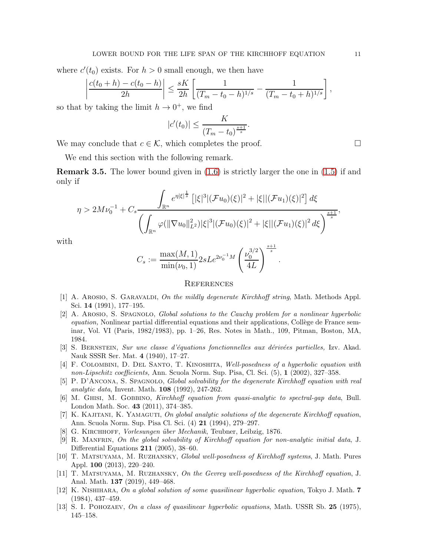where  $c'(t_0)$  exists. For  $h > 0$  small enough, we then have

$$
\left|\frac{c(t_0+h)-c(t_0-h)}{2h}\right| \leq \frac{sK}{2h} \left[\frac{1}{(T_m-t_0-h)^{1/s}}-\frac{1}{(T_m-t_0+h)^{1/s}}\right],
$$

so that by taking the limit  $h \to 0^+$ , we find

$$
|c'(t_0)| \le \frac{K}{(T_m - t_0)^{\frac{s+1}{s}}}.
$$

We may conclude that  $c \in \mathcal{K}$ , which completes the proof.  $\Box$ 

We end this section with the following remark.

<span id="page-10-12"></span>Remark 3.5. The lower bound given in [\(1.6\)](#page-2-0) is strictly larger the one in [\(1.5\)](#page-1-0) if and only if

$$
\eta > 2M\nu_0^{-1} + C_s \frac{\int_{\mathbb{R}^n} e^{\eta|\xi|^{\frac{1}{s}}}\left[|\xi|^3 | (\mathcal{F}u_0)(\xi)|^2 + |\xi| | (\mathcal{F}u_1)(\xi)|^2\right] d\xi}{\left(\int_{\mathbb{R}^n} \varphi(\|\nabla u_0\|_{L^2}^2) |\xi|^3 | (\mathcal{F}u_0)(\xi)|^2 + |\xi| | (\mathcal{F}u_1)(\xi)|^2 d\xi\right)^{\frac{s+1}{s}}},
$$

with

$$
C_s := \frac{\max(M, 1)}{\min(\nu_0, 1)} 2sLe^{2\nu_0^{-1}M} \left(\frac{\nu_0^{3/2}}{4L}\right)^{\frac{s+1}{s}}.
$$

# **REFERENCES**

- <span id="page-10-10"></span>[1] A. AROSIO, S. GARAVALDI, On the mildly degenerate Kirchhoff string, Math. Methods Appl. Sci. 14 (1991), 177–195.
- <span id="page-10-4"></span>[2] A. Arosio, S. Spagnolo, Global solutions to the Cauchy problem for a nonlinear hyperbolic  $equation$ , Nonlinear partial differential equations and their applications, Collège de France seminar, Vol. VI (Paris, 1982/1983), pp. 1–26, Res. Notes in Math., 109, Pitman, Boston, MA, 1984.
- <span id="page-10-1"></span>[3] S. BERNSTEIN, Sur une classe d'équations fonctionnelles aux dérivées partielles, Izv. Akad. Nauk SSSR Ser. Mat. 4 (1940), 17–27.
- <span id="page-10-13"></span>[4] F. COLOMBINI, D. DEL SANTO, T. KINOSHITA, Well-posedness of a hyperbolic equation with non-Lipschitz coefficients, Ann. Scuola Norm. Sup. Pisa, Cl. Sci. (5), 1 (2002), 327–358.
- <span id="page-10-3"></span>[5] P. D'ANCONA, S. SPAGNOLO, Global solvability for the degenerate Kirchhoff equation with real analytic data, Invent. Math. 108 (1992), 247-262.
- <span id="page-10-7"></span>[6] M. Ghisi, M. Gobbino, Kirchhoff equation from quasi-analytic to spectral-gap data, Bull. London Math. Soc. 43 (2011), 374–385.
- <span id="page-10-5"></span>[7] K. Kajitani, K. Yamaguti, On global analytic solutions of the degenerate Kirchhoff equation, Ann. Scuola Norm. Sup. Pisa Cl. Sci. (4) 21 (1994), 279–297.
- <span id="page-10-8"></span><span id="page-10-0"></span>[8] G. KIRCHHOFF, Vorlesungen über Mechanik, Teubner, Leibzig, 1876.
- [9] R. Manfrin, On the global solvability of Kirchhoff equation for non-analytic initial data, J. Differential Equations 211 (2005), 38–60.
- <span id="page-10-9"></span>[10] T. Matsuyama, M. Ruzhansky, Global well-posedness of Kirchhoff systems, J. Math. Pures Appl. 100 (2013), 220–240.
- <span id="page-10-11"></span>[11] T. Matsuyama, M. Ruzhansky, On the Gevrey well-posedness of the Kirchhoff equation, J. Anal. Math. 137 (2019), 449–468.
- <span id="page-10-6"></span>[12] K. NISHIHARA, On a global solution of some quasilinear hyperbolic equation, Tokyo J. Math. 7 (1984), 437–459.
- <span id="page-10-2"></span>[13] S. I. POHOZAEV, On a class of quasilinear hyperbolic equations, Math. USSR Sb. 25 (1975), 145–158.